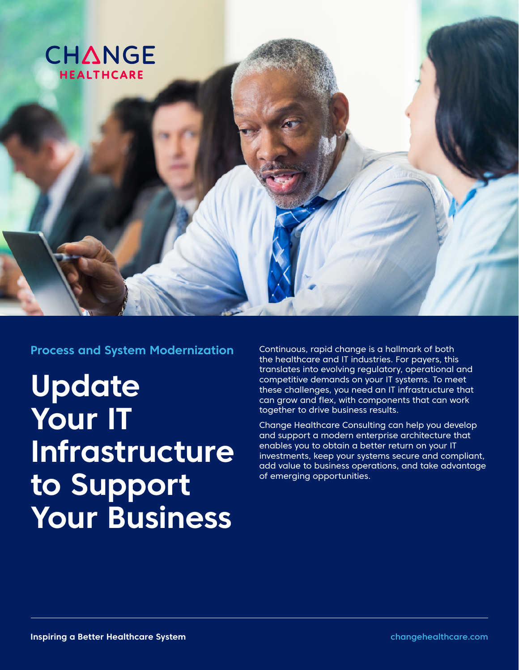

**Process and System Modernization**

**Update Your IT Infrastructure to Support Your Business**

Continuous, rapid change is a hallmark of both the healthcare and IT industries. For payers, this translates into evolving regulatory, operational and competitive demands on your IT systems. To meet these challenges, you need an IT infrastructure that can grow and flex, with components that can work together to drive business results.

Change Healthcare Consulting can help you develop and support a modern enterprise architecture that enables you to obtain a better return on your IT investments, keep your systems secure and compliant, add value to business operations, and take advantage of emerging opportunities.